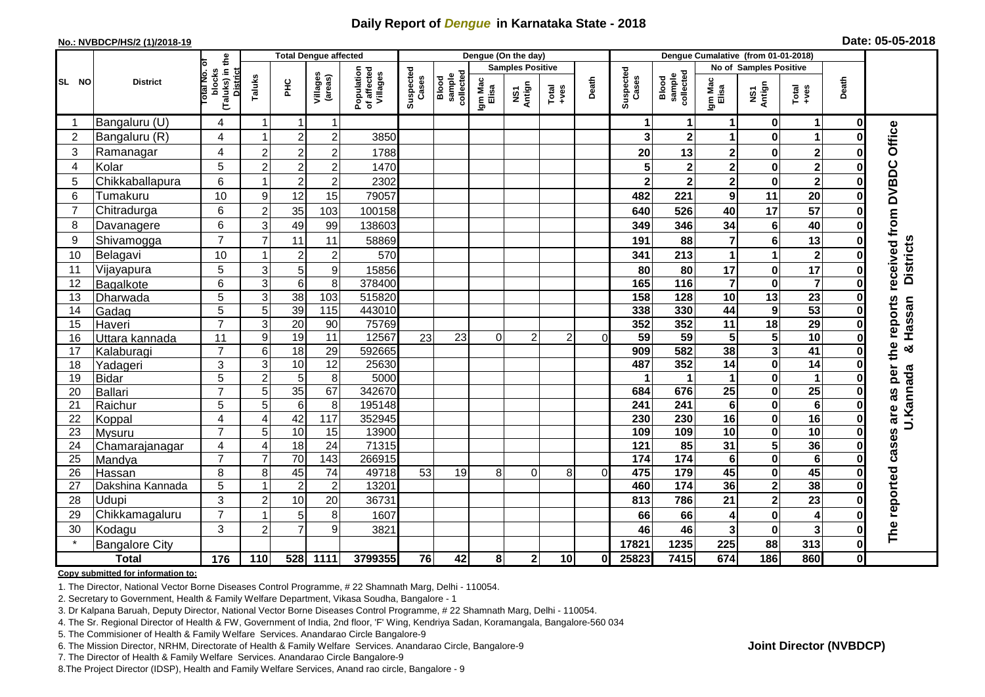## **Daily Report of** *Dengue* **in Karnataka State - 2018**

#### **No.: NVBDCP/HS/2 (1)/2018-19**

|  | Date: 05-05-2018 |  |
|--|------------------|--|
|--|------------------|--|

|                | <b>District</b>       |                                                   |                | <b>Total Dengue affected</b> |                     |                                       | Dengue (On the day) |                              |                  |                         |                  |          |                    | Dengue Cumalative (from 01-01-2018) |                         |                         |                         |             |                     |  |
|----------------|-----------------------|---------------------------------------------------|----------------|------------------------------|---------------------|---------------------------------------|---------------------|------------------------------|------------------|-------------------------|------------------|----------|--------------------|-------------------------------------|-------------------------|-------------------------|-------------------------|-------------|---------------------|--|
|                |                       | ō                                                 |                |                              |                     |                                       |                     |                              |                  | <b>Samples Positive</b> |                  |          |                    |                                     | No of Samples Positive  |                         |                         |             |                     |  |
| SL NO          |                       | (Taluks) in the<br>District<br>otal No.<br>blocks | Taluks         | ŦЕ                           | Villages<br>(areas) | Population<br>of affected<br>Villages | Suspected<br>Cases  | sample<br>collected<br>Blood | Igm Mac<br>Elisa | NS1<br>Antign           | Total<br>$+ve$ s | Death    | Suspected<br>Cases | sample<br>collected<br>Blood        | Igm Mac<br>Elisa        | NS1<br>Antign           | Total<br>$+ve$ s        | Death       |                     |  |
| -1             | Bangaluru (U)         | 4                                                 | $\overline{1}$ | $\mathbf 1$                  | $\mathbf{1}$        |                                       |                     |                              |                  |                         |                  |          |                    | 1                                   | 1                       | $\mathbf 0$             | $\mathbf 1$             | $\mathbf 0$ |                     |  |
| $\overline{2}$ | Bangaluru (R)         | 4                                                 |                | $\overline{2}$               | $\overline{2}$      | 3850                                  |                     |                              |                  |                         |                  |          |                    | $\overline{\mathbf{2}}$             |                         | $\mathbf 0$             |                         | Û           |                     |  |
| 3              | Ramanagar             | 4                                                 | $\overline{c}$ | $\boldsymbol{2}$             | $\overline{c}$      | 1788                                  |                     |                              |                  |                         |                  |          | 20                 | 13                                  | 2                       | $\bf{0}$                | $\overline{\mathbf{2}}$ | ŋ           | Office              |  |
| 4              | Kolar                 | 5                                                 | $\overline{2}$ | $\mathbf 2$                  | $\overline{c}$      | 1470                                  |                     |                              |                  |                         |                  |          |                    | $\mathbf 2$                         | $\overline{\mathbf{2}}$ | 0                       | $\overline{\mathbf{2}}$ | ŋ           |                     |  |
| 5              | Chikkaballapura       | 6                                                 |                | $\overline{2}$               | $\overline{c}$      | 2302                                  |                     |                              |                  |                         |                  |          | $\mathbf{2}$       | $\overline{\mathbf{2}}$             | $\overline{\mathbf{2}}$ | $\pmb{0}$               | $\overline{2}$          | 0           |                     |  |
| 6              | Tumakuru              | 10                                                | 9              | 12                           | 15                  | 79057                                 |                     |                              |                  |                         |                  |          | 482                | 221                                 | 9                       | 11                      | 20                      | 0           |                     |  |
|                | Chitradurga           | 6                                                 | $\overline{2}$ | 35                           | 103                 | 100158                                |                     |                              |                  |                         |                  |          | 640                | 526                                 | 40                      | $\overline{17}$         | 57                      | 0           |                     |  |
| 8              | Davanagere            | 6                                                 | 3              | 49                           | 99                  | 138603                                |                     |                              |                  |                         |                  |          | 349                | 346                                 | 34                      | $\bf 6$                 | 40                      | $\bf{0}$    |                     |  |
| 9              | Shivamogga            | $\overline{7}$                                    | $\overline{7}$ | 11                           | 11                  | 58869                                 |                     |                              |                  |                         |                  |          | 191                | 88                                  | 7                       | $\bf 6$                 | 13                      | O           | received from DVBDC |  |
| 10             | Belagavi              | 10                                                |                | $\overline{c}$               | $\overline{2}$      | 570                                   |                     |                              |                  |                         |                  |          | 341                | 213                                 | $\mathbf 1$             | 1                       | $\mathbf{2}$            | ŋ           | <b>Districts</b>    |  |
| 11             | Vijayapura            | 5                                                 | 3              | 5                            | 9                   | 15856                                 |                     |                              |                  |                         |                  |          | 80                 | 80                                  | 17                      | $\pmb{0}$               | 17                      | 0           |                     |  |
| 12             | Bagalkote             | 6                                                 | 3              | $\overline{6}$               | 8                   | 378400                                |                     |                              |                  |                         |                  |          | 165                | $\frac{116}{116}$                   | $\overline{7}$          | $\mathbf 0$             | $\overline{\mathbf{7}}$ | 0           |                     |  |
| 13             | Dharwada              | 5                                                 | 3              | $\overline{38}$              | $\frac{103}{2}$     | 515820                                |                     |                              |                  |                         |                  |          | 158                | 128                                 | $\overline{10}$         | $\overline{13}$         | $\overline{23}$         | 0           |                     |  |
| 14             | Gadag                 | 5                                                 | 5              | 39                           | $\frac{115}{115}$   | 443010                                |                     |                              |                  |                         |                  |          | 338                | 330                                 | 44                      | $\boldsymbol{9}$        | 53                      |             | Hassan              |  |
| 15             | Haveri                | $\overline{7}$                                    | 3              | 20                           | 90                  | 75769                                 |                     |                              |                  |                         |                  |          | 352                | 352                                 | 11                      | 18                      | 29                      | O           |                     |  |
| 16             | Uttara kannada        | 11                                                | 9              | $\overline{19}$              | 11                  | 12567                                 | 23                  | 23                           | 0                | $\overline{2}$          | $\overline{2}$   | $\Omega$ | 59                 | 59                                  | 5                       | $\overline{\mathbf{5}}$ | 10                      |             | the reports         |  |
| 17             | Kalaburagi            | $\overline{7}$                                    | 6              | $\overline{18}$              | 29                  | 592665                                |                     |                              |                  |                         |                  |          | 909                | 582                                 | 38                      | 3                       | $\overline{41}$         | O           | ×                   |  |
| 18             | Yadageri              | 3                                                 | 3              | 10                           | 12                  | 25630                                 |                     |                              |                  |                         |                  |          | 487                | 352                                 | 14                      | $\mathbf 0$             | 14                      |             |                     |  |
| 19             | <b>Bidar</b>          | 5                                                 | $\overline{c}$ | $\overline{5}$               | 8                   | 5000                                  |                     |                              |                  |                         |                  |          |                    |                                     | 1                       | $\mathbf 0$             | $\mathbf{1}$            |             | per                 |  |
| 20             | <b>Ballari</b>        | $\overline{7}$                                    | 5              | 35                           | 67                  | 342670                                |                     |                              |                  |                         |                  |          | 684                | 676                                 | 25                      | $\bf{0}$                | $\overline{25}$         |             | 8g                  |  |
| 21             | Raichur               | 5                                                 | 5              | $\overline{6}$               | 8                   | 195148                                |                     |                              |                  |                         |                  |          | 241                | 241                                 | 6                       | $\pmb{0}$               | $6\phantom{1}6$         | O           |                     |  |
| 22             | Koppal                | $\overline{4}$                                    | 4              | 42                           | 117                 | 352945                                |                     |                              |                  |                         |                  |          | 230                | 230                                 | 16                      | $\pmb{0}$               | 16                      | 0           | U.Kannada<br>are    |  |
| 23             | <b>Mysuru</b>         | $\overline{7}$                                    | 5              | 10                           | 15                  | 13900                                 |                     |                              |                  |                         |                  |          | 109                | 109                                 | 10                      | $\mathbf 0$             | 10                      | 0           |                     |  |
| 24             | Chamarajanagar        | 4                                                 | $\overline{4}$ | 18                           | 24                  | 71315                                 |                     |                              |                  |                         |                  |          | $\frac{1}{121}$    | 85                                  | 31                      | $\overline{\mathbf{5}}$ | 36                      | O           | cases               |  |
| 25             | Mandya                | $\overline{7}$                                    | $\overline{7}$ | 70                           | $\overline{143}$    | 266915                                |                     |                              |                  |                         |                  |          | 174                | $\overline{174}$                    | $6\phantom{1}$          | $\pmb{0}$               | 6                       | 0           |                     |  |
| 26             | Hassan                | 8                                                 | 8<br>1         | 45                           | $\overline{74}$     | 49718                                 | 53                  | 19                           | 8 <sup>1</sup>   | $\Omega$                | 8                | $\Omega$ | 475                | 179                                 | 45                      | $\mathbf 0$             | 45                      | $\bf{0}$    |                     |  |
| 27             | Dakshina Kannada      | 5                                                 |                | $\overline{2}$               | $\overline{c}$      | 13201                                 |                     |                              |                  |                         |                  |          | 460                | $\frac{1}{174}$                     | 36                      | $\overline{\mathbf{2}}$ | 38                      | 0           |                     |  |
| 28             | Udupi                 | 3                                                 | $\overline{2}$ | 10                           | 20                  | 36731                                 |                     |                              |                  |                         |                  |          | 813                | 786                                 | 21                      | $\mathbf{2}$            | 23                      |             |                     |  |
| 29             | Chikkamagaluru        | $\overline{7}$                                    |                | 5                            | 8                   | 1607                                  |                     |                              |                  |                         |                  |          | 66                 | 66                                  | 4                       | $\mathbf 0$             | 4                       |             | The reported        |  |
| 30             | Kodagu                | 3                                                 | $\overline{2}$ | $\overline{7}$               | 9                   | 3821                                  |                     |                              |                  |                         |                  |          | 46                 | 46                                  | 3                       | $\bf{0}$                | $\overline{\mathbf{3}}$ | 0           |                     |  |
|                | <b>Bangalore City</b> |                                                   |                |                              |                     |                                       |                     |                              |                  |                         |                  |          | 17821              | 1235                                | 225                     | 88                      | 313                     | $\mathbf 0$ |                     |  |
|                | <b>Total</b>          | $\frac{1}{176}$                                   | 110            | 528                          | 1111                | 3799355                               | 76                  | 42                           | 8                | $\mathbf 2$             | 10               | 01       | 25823              | 7415                                | 674                     | 186                     | 860                     | 0           |                     |  |

#### **Copy submitted for information to:**

1. The Director, National Vector Borne Diseases Control Programme, # 22 Shamnath Marg, Delhi - 110054.

2. Secretary to Government, Health & Family Welfare Department, Vikasa Soudha, Bangalore - 1

3. Dr Kalpana Baruah, Deputy Director, National Vector Borne Diseases Control Programme, # 22 Shamnath Marg, Delhi - 110054.

4. The Sr. Regional Director of Health & FW, Government of India, 2nd floor, 'F' Wing, Kendriya Sadan, Koramangala, Bangalore-560 034

5. The Commisioner of Health & Family Welfare Services. Anandarao Circle Bangalore-9

6. The Mission Director, NRHM, Directorate of Health & Family Welfare Services. Anandarao Circle, Bangalore-9

7. The Director of Health & Family Welfare Services. Anandarao Circle Bangalore-9

8.The Project Director (IDSP), Health and Family Welfare Services, Anand rao circle, Bangalore - 9